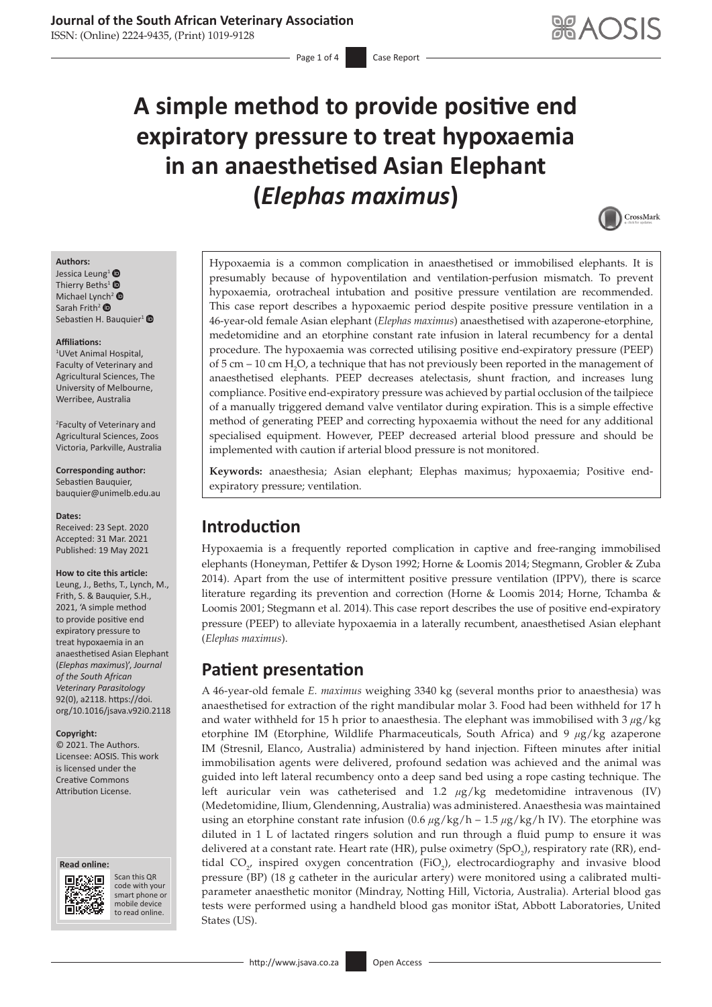# **A simple method to provide positive end expiratory pressure to treat hypoxaemia in an anaesthetised Asian Elephant (***Elephas maximus***)**



#### **Authors:**

Jessica Leung<sup>[1](https://orcid.org/0000-0003-0778-3792)</sup><sup>®</sup> Thierry Beths<sup>[1](http://orcid.org/0000-0003-1412-0591)</sup> $\bullet$ Michael Ly[nch](https://orcid.org/0000-0001-6487-8646)<sup>[2](http://orcid.org/0000-0002-1934-7261)</sup> ® Sarah Frith<sup>2</sup> <sup>O</sup> Sebastien H. Bauquier<sup>[1](https://orcid.org/0000-0001-7355-5590)</sup>

#### **Affiliations:**

1 UVet Animal Hospital, Faculty of Veterinary and Agricultural Sciences, The University of Melbourne, Werribee, Australia

2 Faculty of Veterinary and Agricultural Sciences, Zoos Victoria, Parkville, Australia

#### **Corresponding author:** Sebastien Bauquier, [bauquier@unimelb.edu.au](mailto:bauquier@unimelb.edu.au)

**Dates:**

Received: 23 Sept. 2020 Accepted: 31 Mar. 2021 Published: 19 May 2021

#### **How to cite this article:**

Leung, J., Beths, T., Lynch, M., Frith, S. & Bauquier, S.H., 2021, 'A simple method to provide positive end expiratory pressure to treat hypoxaemia in an anaesthetised Asian Elephant (*Elephas maximus*)', *Journal of the South African Veterinary Parasitology* 92(0), a2118. [https://doi.](https://doi.org/10.1016/jsava.v92i0.2118) [org/10.1016/jsava.v92i0.2118](https://doi.org/10.1016/jsava.v92i0.2118)

#### **Copyright:**

© 2021. The Authors. Licensee: AOSIS. This work is licensed under the Creative Commons Attribution License.





Scan this QR code with your Scan this QR<br>code with your<br>smart phone or<br>mobile device mobile device to read online. to read online.

Hypoxaemia is a common complication in anaesthetised or immobilised elephants. It is presumably because of hypoventilation and ventilation-perfusion mismatch. To prevent hypoxaemia, orotracheal intubation and positive pressure ventilation are recommended. This case report describes a hypoxaemic period despite positive pressure ventilation in a 46-year-old female Asian elephant (*Elephas maximus*) anaesthetised with azaperone-etorphine, medetomidine and an etorphine constant rate infusion in lateral recumbency for a dental procedure. The hypoxaemia was corrected utilising positive end-expiratory pressure (PEEP) of 5 cm – 10 cm  $H_2O$ , a technique that has not previously been reported in the management of anaesthetised elephants. PEEP decreases atelectasis, shunt fraction, and increases lung compliance. Positive end-expiratory pressure was achieved by partial occlusion of the tailpiece of a manually triggered demand valve ventilator during expiration. This is a simple effective method of generating PEEP and correcting hypoxaemia without the need for any additional specialised equipment. However, PEEP decreased arterial blood pressure and should be implemented with caution if arterial blood pressure is not monitored.

**Keywords:** anaesthesia; Asian elephant; Elephas maximus; hypoxaemia; Positive endexpiratory pressure; ventilation.

# **Introduction**

Hypoxaemia is a frequently reported complication in captive and free-ranging immobilised elephants (Honeyman, Pettifer & Dyson 1992; Horne & Loomis 2014; Stegmann, Grobler & Zuba 2014). Apart from the use of intermittent positive pressure ventilation (IPPV), there is scarce literature regarding its prevention and correction (Horne & Loomis 2014; Horne, Tchamba & Loomis 2001; Stegmann et al. 2014). This case report describes the use of positive end-expiratory pressure (PEEP) to alleviate hypoxaemia in a laterally recumbent, anaesthetised Asian elephant (*Elephas maximus*).

# **Patient presentation**

A 46-year-old female *E. maximus* weighing 3340 kg (several months prior to anaesthesia) was anaesthetised for extraction of the right mandibular molar 3. Food had been withheld for 17 h and water withheld for 15 h prior to anaesthesia. The elephant was immobilised with 3 *μ*g/kg etorphine IM (Etorphine, Wildlife Pharmaceuticals, South Africa) and 9 *μ*g/kg azaperone IM (Stresnil, Elanco, Australia) administered by hand injection. Fifteen minutes after initial immobilisation agents were delivered, profound sedation was achieved and the animal was guided into left lateral recumbency onto a deep sand bed using a rope casting technique. The left auricular vein was catheterised and 1.2 *μ*g/kg medetomidine intravenous (IV) (Medetomidine, Ilium, Glendenning, Australia) was administered. Anaesthesia was maintained using an etorphine constant rate infusion (0.6 *μ*g/kg/h – 1.5 *μ*g/kg/h IV). The etorphine was diluted in 1 L of lactated ringers solution and run through a fluid pump to ensure it was delivered at a constant rate. Heart rate (HR), pulse oximetry (SpO<sub>2</sub>), respiratory rate (RR), endtidal  $CO_{2'}$  inspired oxygen concentration (FiO<sub>2</sub>), electrocardiography and invasive blood pressure (BP) (18 g catheter in the auricular artery) were monitored using a calibrated multiparameter anaesthetic monitor (Mindray, Notting Hill, Victoria, Australia). Arterial blood gas tests were performed using a handheld blood gas monitor iStat, Abbott Laboratories, United States (US).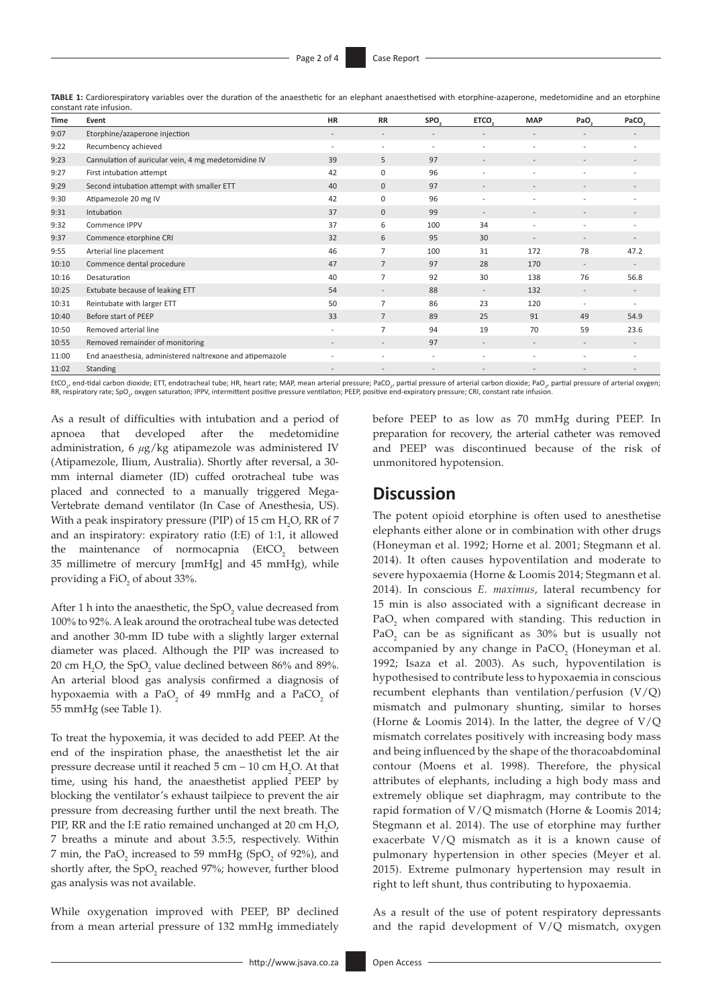| Time  | Event                                                    | <b>HR</b>                | <b>RR</b>      | SPO <sub>3</sub>         | ETCO,                    | <b>MAP</b>               | PaO <sub>2</sub>         | PaCO <sub>3</sub>        |
|-------|----------------------------------------------------------|--------------------------|----------------|--------------------------|--------------------------|--------------------------|--------------------------|--------------------------|
| 9:07  | Etorphine/azaperone injection                            |                          |                |                          |                          | $\overline{\phantom{0}}$ | $\overline{\phantom{0}}$ |                          |
| 9:22  | Recumbency achieved                                      | $\overline{\phantom{a}}$ | ٠              | $\overline{\phantom{a}}$ |                          |                          | $\overline{a}$           |                          |
| 9:23  | Cannulation of auricular vein, 4 mg medetomidine IV      | 39                       | 5              | 97                       |                          |                          |                          |                          |
| 9:27  | First intubation attempt                                 | 42                       | 0              | 96                       |                          |                          | $\overline{a}$           |                          |
| 9:29  | Second intubation attempt with smaller ETT               | 40                       | $\mathbf{0}$   | 97                       | $\overline{\phantom{a}}$ | $\overline{\phantom{a}}$ | $\overline{\phantom{a}}$ |                          |
| 9:30  | Atipamezole 20 mg IV                                     | 42                       | $\mathbf 0$    | 96                       |                          | $\overline{a}$           | $\overline{\phantom{0}}$ |                          |
| 9:31  | Intubation                                               | 37                       | $\mathbf{0}$   | 99                       |                          |                          |                          |                          |
| 9:32  | Commence IPPV                                            | 37                       | 6              | 100                      | 34                       | $\overline{\phantom{0}}$ | $\overline{a}$           |                          |
| 9:37  | Commence etorphine CRI                                   | 32                       | 6              | 95                       | 30                       |                          |                          |                          |
| 9:55  | Arterial line placement                                  | 46                       | 7              | 100                      | 31                       | 172                      | 78                       | 47.2                     |
| 10:10 | Commence dental procedure                                | 47                       | 7              | 97                       | 28                       | 170                      | $\sim$                   | $\overline{\phantom{a}}$ |
| 10:16 | Desaturation                                             | 40                       | $\overline{7}$ | 92                       | 30                       | 138                      | 76                       | 56.8                     |
| 10:25 | Extubate because of leaking ETT                          | 54                       |                | 88                       | ٠.                       | 132                      | $\overline{\phantom{a}}$ |                          |
| 10:31 | Reintubate with larger ETT                               | 50                       | 7              | 86                       | 23                       | 120                      | $\overline{a}$           | $\overline{\phantom{a}}$ |
| 10:40 | Before start of PEEP                                     | 33                       | $\overline{7}$ | 89                       | 25                       | 91                       | 49                       | 54.9                     |
| 10:50 | Removed arterial line                                    | $\overline{\phantom{a}}$ | $\overline{7}$ | 94                       | 19                       | 70                       | 59                       | 23.6                     |
| 10:55 | Removed remainder of monitoring                          | $\overline{\phantom{a}}$ |                | 97                       | $\overline{\phantom{a}}$ | $\overline{\phantom{a}}$ | $\overline{\phantom{a}}$ |                          |
| 11:00 | End anaesthesia, administered naltrexone and atipemazole |                          |                |                          |                          | $\overline{a}$           | $\overline{a}$           |                          |
| 11:02 | <b>Standing</b>                                          |                          |                |                          |                          |                          |                          |                          |

**TABLE 1:** Cardiorespiratory variables over the duration of the anaesthetic for an elephant anaesthetised with etorphine-azaperone, medetomidine and an etorphine constant rate infusion.

EtCO<sub>2</sub>, end-tidal carbon dioxide; ETT, endotracheal tube; HR, heart rate; MAP, mean arterial pressure; PaCO<sub>2</sub>, partial pressure of arterial carbon dioxide; PaO<sub>2</sub>, partial pressure of arterial carbon dioxide; PaO<sub>2</sub>, pa RR, respiratory rate; SpO<sub>2</sub>, oxygen saturation; IPPV, intermittent positive pressure ventilation; PEEP, positive end-expiratory pressure; CRI, constant rate infusion.

As a result of difficulties with intubation and a period of apnoea that developed after the medetomidine administration, 6 *μ*g/kg atipamezole was administered IV (Atipamezole, Ilium, Australia). Shortly after reversal, a 30 mm internal diameter (ID) cuffed orotracheal tube was placed and connected to a manually triggered Mega-Vertebrate demand ventilator (In Case of Anesthesia, US). With a peak inspiratory pressure (PIP) of 15 cm  $H_2O$ , RR of 7 and an inspiratory: expiratory ratio (I:E) of 1:1, it allowed the maintenance of normocapnia  $(EtCO<sub>2</sub>)$  between 35 millimetre of mercury [mmHg] and 45 mmHg), while providing a  $\text{FiO}_2$  of about 33%.

After 1 h into the anaesthetic, the  $SpO<sub>2</sub>$  value decreased from 100% to 92%. A leak around the orotracheal tube was detected and another 30-mm ID tube with a slightly larger external diameter was placed. Although the PIP was increased to 20 cm  $H_2O$ , the SpO<sub>2</sub> value declined between 86% and 89%. An arterial blood gas analysis confirmed a diagnosis of hypoxaemia with a PaO<sub>2</sub> of 49 mmHg and a PaCO<sub>2</sub> of 55 mmHg (see Table 1).

To treat the hypoxemia, it was decided to add PEEP. At the end of the inspiration phase, the anaesthetist let the air pressure decrease until it reached  $5 \text{ cm} - 10 \text{ cm H}_{2}\text{O}$ . At that time, using his hand, the anaesthetist applied PEEP by blocking the ventilator's exhaust tailpiece to prevent the air pressure from decreasing further until the next breath. The PIP, RR and the I:E ratio remained unchanged at 20 cm  $H_2O$ , 7 breaths a minute and about 3.5:5, respectively. Within 7 min, the PaO<sub>2</sub> increased to 59 mmHg (SpO<sub>2</sub> of 92%), and shortly after, the  $SpO<sub>2</sub>$  reached 97%; however, further blood gas analysis was not available.

While oxygenation improved with PEEP, BP declined from a mean arterial pressure of 132 mmHg immediately before PEEP to as low as 70 mmHg during PEEP. In preparation for recovery, the arterial catheter was removed and PEEP was discontinued because of the risk of unmonitored hypotension.

# **Discussion**

The potent opioid etorphine is often used to anesthetise elephants either alone or in combination with other drugs (Honeyman et al. 1992; Horne et al. 2001; Stegmann et al. 2014). It often causes hypoventilation and moderate to severe hypoxaemia (Horne & Loomis 2014; Stegmann et al. 2014). In conscious *E. maximus*, lateral recumbency for 15 min is also associated with a significant decrease in  $PaO<sub>2</sub>$  when compared with standing. This reduction in PaO<sub>2</sub> can be as significant as  $30\%$  but is usually not accompanied by any change in PaCO<sub>2</sub> (Honeyman et al. 1992; Isaza et al. 2003). As such, hypoventilation is hypothesised to contribute less to hypoxaemia in conscious recumbent elephants than ventilation/perfusion (V/Q) mismatch and pulmonary shunting, similar to horses (Horne & Loomis 2014). In the latter, the degree of V/Q mismatch correlates positively with increasing body mass and being influenced by the shape of the thoracoabdominal contour (Moens et al. 1998). Therefore, the physical attributes of elephants, including a high body mass and extremely oblique set diaphragm, may contribute to the rapid formation of V/Q mismatch (Horne & Loomis 2014; Stegmann et al. 2014). The use of etorphine may further exacerbate V/Q mismatch as it is a known cause of pulmonary hypertension in other species (Meyer et al. 2015). Extreme pulmonary hypertension may result in right to left shunt, thus contributing to hypoxaemia.

As a result of the use of potent respiratory depressants and the rapid development of V/Q mismatch, oxygen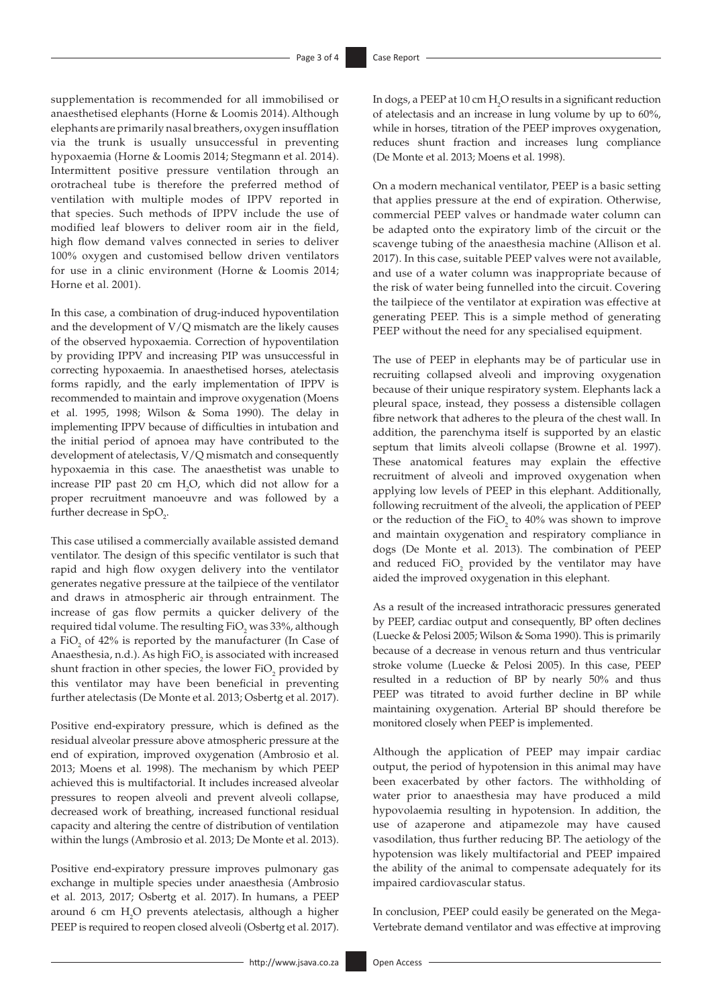supplementation is recommended for all immobilised or anaesthetised elephants (Horne & Loomis 2014).Although elephants are primarily nasal breathers, oxygen insufflation via the trunk is usually unsuccessful in preventing hypoxaemia (Horne & Loomis 2014; Stegmann et al. 2014). Intermittent positive pressure ventilation through an orotracheal tube is therefore the preferred method of ventilation with multiple modes of IPPV reported in that species. Such methods of IPPV include the use of modified leaf blowers to deliver room air in the field, high flow demand valves connected in series to deliver 100% oxygen and customised bellow driven ventilators for use in a clinic environment (Horne & Loomis 2014; Horne et al. 2001).

In this case, a combination of drug-induced hypoventilation and the development of V/Q mismatch are the likely causes of the observed hypoxaemia. Correction of hypoventilation by providing IPPV and increasing PIP was unsuccessful in correcting hypoxaemia. In anaesthetised horses, atelectasis forms rapidly, and the early implementation of IPPV is recommended to maintain and improve oxygenation (Moens et al. 1995, 1998; Wilson & Soma 1990). The delay in implementing IPPV because of difficulties in intubation and the initial period of apnoea may have contributed to the development of atelectasis, V/Q mismatch and consequently hypoxaemia in this case. The anaesthetist was unable to increase PIP past 20 cm  $H_2O$ , which did not allow for a proper recruitment manoeuvre and was followed by a further decrease in SpO<sub>2</sub>.

This case utilised a commercially available assisted demand ventilator. The design of this specific ventilator is such that rapid and high flow oxygen delivery into the ventilator generates negative pressure at the tailpiece of the ventilator and draws in atmospheric air through entrainment. The increase of gas flow permits a quicker delivery of the required tidal volume. The resulting FiO<sub>2</sub> was 33%, although a FiO<sub>2</sub> of 42% is reported by the manufacturer (In Case of Anaesthesia, n.d.). As high FiO<sub>2</sub> is associated with increased shunt fraction in other species, the lower  $\mathrm{FiO}_2$  provided by this ventilator may have been beneficial in preventing further atelectasis (De Monte et al. 2013; Osbertg et al. 2017).

Positive end-expiratory pressure, which is defined as the residual alveolar pressure above atmospheric pressure at the end of expiration, improved oxygenation (Ambrosio et al. 2013; Moens et al. 1998). The mechanism by which PEEP achieved this is multifactorial. It includes increased alveolar pressures to reopen alveoli and prevent alveoli collapse, decreased work of breathing, increased functional residual capacity and altering the centre of distribution of ventilation within the lungs (Ambrosio et al. 2013; De Monte et al. 2013).

Positive end-expiratory pressure improves pulmonary gas exchange in multiple species under anaesthesia (Ambrosio et al. 2013, 2017; Osbertg et al. 2017). In humans, a PEEP around 6 cm  $H_2O$  prevents atelectasis, although a higher PEEP is required to reopen closed alveoli (Osbertg et al. 2017).

In dogs, a PEEP at 10 cm  $H_2O$  results in a significant reduction of atelectasis and an increase in lung volume by up to 60%, while in horses, titration of the PEEP improves oxygenation, reduces shunt fraction and increases lung compliance (De Monte et al. 2013; Moens et al. 1998).

On a modern mechanical ventilator, PEEP is a basic setting that applies pressure at the end of expiration. Otherwise, commercial PEEP valves or handmade water column can be adapted onto the expiratory limb of the circuit or the scavenge tubing of the anaesthesia machine (Allison et al. 2017). In this case, suitable PEEP valves were not available, and use of a water column was inappropriate because of the risk of water being funnelled into the circuit. Covering the tailpiece of the ventilator at expiration was effective at generating PEEP. This is a simple method of generating PEEP without the need for any specialised equipment.

The use of PEEP in elephants may be of particular use in recruiting collapsed alveoli and improving oxygenation because of their unique respiratory system. Elephants lack a pleural space, instead, they possess a distensible collagen fibre network that adheres to the pleura of the chest wall. In addition, the parenchyma itself is supported by an elastic septum that limits alveoli collapse (Browne et al. 1997). These anatomical features may explain the effective recruitment of alveoli and improved oxygenation when applying low levels of PEEP in this elephant. Additionally, following recruitment of the alveoli, the application of PEEP or the reduction of the  $FiO_2$  to 40% was shown to improve and maintain oxygenation and respiratory compliance in dogs (De Monte et al. 2013). The combination of PEEP and reduced  $FiO_2$  provided by the ventilator may have aided the improved oxygenation in this elephant.

As a result of the increased intrathoracic pressures generated by PEEP, cardiac output and consequently, BP often declines (Luecke & Pelosi 2005; Wilson & Soma 1990). This is primarily because of a decrease in venous return and thus ventricular stroke volume (Luecke & Pelosi 2005). In this case, PEEP resulted in a reduction of BP by nearly 50% and thus PEEP was titrated to avoid further decline in BP while maintaining oxygenation. Arterial BP should therefore be monitored closely when PEEP is implemented.

Although the application of PEEP may impair cardiac output, the period of hypotension in this animal may have been exacerbated by other factors. The withholding of water prior to anaesthesia may have produced a mild hypovolaemia resulting in hypotension. In addition, the use of azaperone and atipamezole may have caused vasodilation, thus further reducing BP. The aetiology of the hypotension was likely multifactorial and PEEP impaired the ability of the animal to compensate adequately for its impaired cardiovascular status.

In conclusion, PEEP could easily be generated on the Mega-Vertebrate demand ventilator and was effective at improving